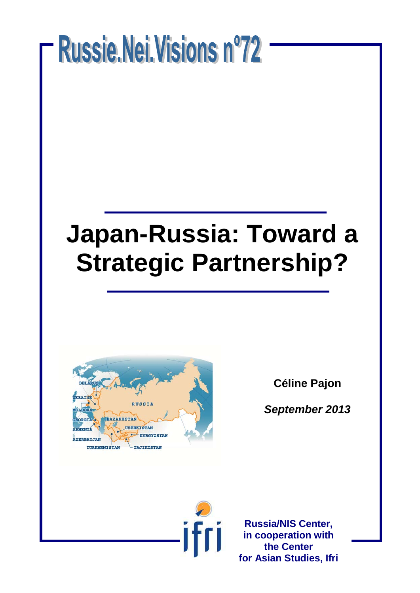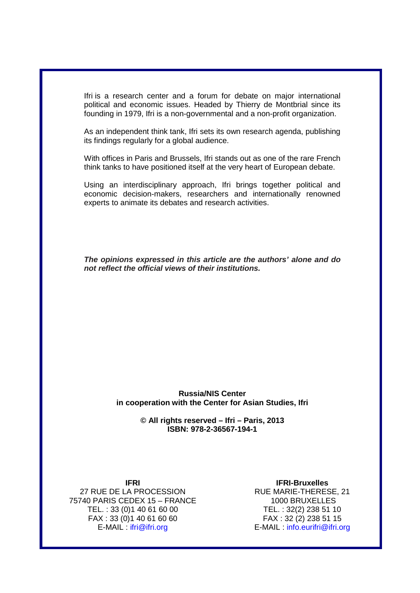Ifri is a research center and a forum for debate on major international political and economic issues. Headed by Thierry de Montbrial since its founding in 1979, Ifri is a non-governmental and a non-profit organization.

As an independent think tank, Ifri sets its own research agenda, publishing its findings regularly for a global audience.

With offices in Paris and Brussels, Ifri stands out as one of the rare French think tanks to have positioned itself at the very heart of European debate.

Using an interdisciplinary approach, Ifri brings together political and economic decision-makers, researchers and internationally renowned experts to animate its debates and research activities.

*The opinions expressed in this article are the authors' alone and do not reflect the official views of their institutions.*

#### **Russia/NIS Center in cooperation with the Center for Asian Studies, Ifri**

**© All rights reserved – Ifri – Paris, 2013 ISBN: 978-2-36567-194-1**

#### **IFRI**

27 RUE DE LA PROCESSION 75740 PARIS CEDEX 15 – FRANCE TEL. : 33 (0)1 40 61 60 00 FAX : 33 (0)1 40 61 60 60 E-MAIL : ifri@ifri.org

#### **IFRI-Bruxelles**

RUE MARIE-THERESE, 21 1000 BRUXELLES TEL. : 32(2) 238 51 10 FAX : 32 (2) 238 51 15 E-MAIL : info.eurifri@ifri.org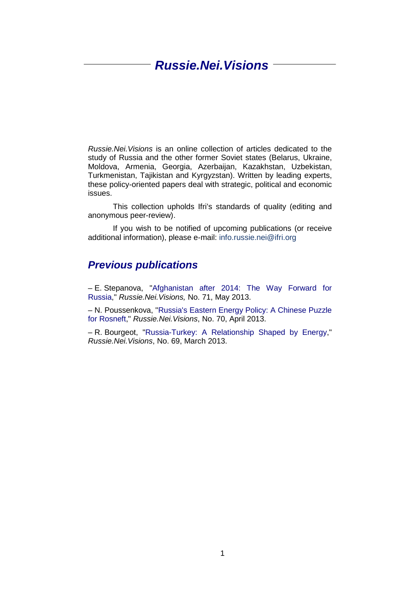### *Russie.Nei.Visions*

*Russie.Nei.Visions* is an online collection of articles dedicated to the study of Russia and the other former Soviet states (Belarus, Ukraine, Moldova, Armenia, Georgia, Azerbaijan, Kazakhstan, Uzbekistan, Turkmenistan, Tajikistan and Kyrgyzstan). Written by leading experts, these policy-oriented papers deal with strategic, political and economic issues.

This collection upholds Ifri's standards of quality (editing and anonymous peer-review).

If you wish to be notified of upcoming publications (or receive additional information), please e-mail: info.russie.nei@ifri.org

### *Previous publications*

– E. Stepanova, ["Afghanistan after 2014: The Way Forward for](http://www.ifri.org/?page=contribution-detail&id=7670&id_provenance=97)  [Russia,](http://www.ifri.org/?page=contribution-detail&id=7670&id_provenance=97)" *Russie.Nei.Visions,* No. 71, May 2013.

– N. Poussenkova, ["Russia's Eastern Energy Policy: A Chinese Puzzle](http://www.ifri.org/downloads/ifrirnv70poussenkovarosneftengapril2013.pdf)  [for Rosneft,](http://www.ifri.org/downloads/ifrirnv70poussenkovarosneftengapril2013.pdf)" *Russie.Nei.Visions*, No. 70, April 2013.

– R. Bourgeot, ["Russia-Turkey: A Relationship Shaped by Energy,](http://www.ifri.org/downloads/ifriremibourgeotrussiaturkeyengmarch2013.pdf)" *Russie.Nei.Visions*, No. 69, March 2013.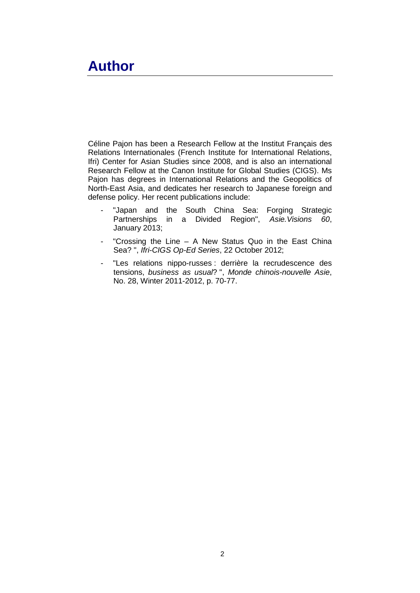## **Author**

Céline Pajon has been a Research Fellow at the Institut Français des Relations Internationales (French Institute for International Relations, Ifri) Center for Asian Studies since 2008, and is also an international Research Fellow at the Canon Institute for Global Studies (CIGS). Ms Pajon has degrees in International Relations and the Geopolitics of North-East Asia, and dedicates her research to Japanese foreign and defense policy. Her recent publications include:

- "Japan and the South China Sea: Forging Strategic Partnerships in a Divided Region", *Asie.Visions 60*, January 2013;
- "Crossing the Line [A New Status Quo in the East China](http://www.ifri.org/?page=detail-contribution&id=7364&id_provenance=87&provenance_context_id=67)  [Sea?](http://www.ifri.org/?page=detail-contribution&id=7364&id_provenance=87&provenance_context_id=67) ", *Ifri-CIGS Op-Ed Series*, 22 October 2012;
- "Les relations nippo-russes : derrière la recrudescence des tensions, *business as usual*? ", *Monde chinois-nouvelle Asie*, No. 28, Winter 2011-2012, p. 70-77.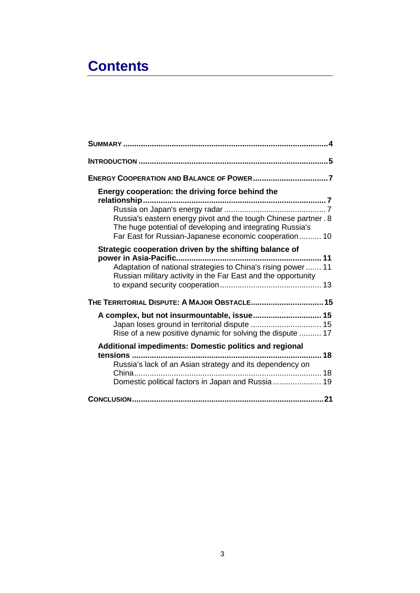# **Contents**

| Energy cooperation: the driving force behind the<br>Russia's eastern energy pivot and the tough Chinese partner. 8<br>The huge potential of developing and integrating Russia's<br>Far East for Russian-Japanese economic cooperation 10  |
|-------------------------------------------------------------------------------------------------------------------------------------------------------------------------------------------------------------------------------------------|
| Strategic cooperation driven by the shifting balance of<br>Adaptation of national strategies to China's rising power  11<br>Russian military activity in the Far East and the opportunity<br>THE TERRITORIAL DISPUTE: A MAJOR OBSTACLE 15 |
| A complex, but not insurmountable, issue 15<br>Rise of a new positive dynamic for solving the dispute  17                                                                                                                                 |
| Additional impediments: Domestic politics and regional<br>Russia's lack of an Asian strategy and its dependency on<br>Domestic political factors in Japan and Russia 19                                                                   |
|                                                                                                                                                                                                                                           |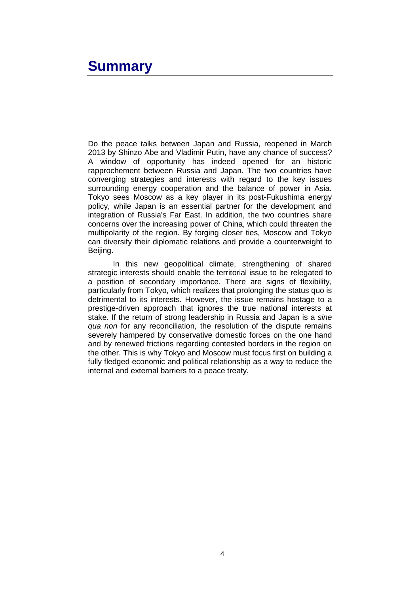## <span id="page-5-0"></span>**Summary**

Do the peace talks between Japan and Russia, reopened in March 2013 by Shinzo Abe and Vladimir Putin, have any chance of success? A window of opportunity has indeed opened for an historic rapprochement between Russia and Japan. The two countries have converging strategies and interests with regard to the key issues surrounding energy cooperation and the balance of power in Asia. Tokyo sees Moscow as a key player in its post-Fukushima energy policy, while Japan is an essential partner for the development and integration of Russia's Far East. In addition, the two countries share concerns over the increasing power of China, which could threaten the multipolarity of the region. By forging closer ties, Moscow and Tokyo can diversify their diplomatic relations and provide a counterweight to Beijing.

In this new geopolitical climate, strengthening of shared strategic interests should enable the territorial issue to be relegated to a position of secondary importance. There are signs of flexibility, particularly from Tokyo, which realizes that prolonging the status quo is detrimental to its interests. However, the issue remains hostage to a prestige-driven approach that ignores the true national interests at stake. If the return of strong leadership in Russia and Japan is a *sine qua non* for any reconciliation, the resolution of the dispute remains severely hampered by conservative domestic forces on the one hand and by renewed frictions regarding contested borders in the region on the other. This is why Tokyo and Moscow must focus first on building a fully fledged economic and political relationship as a way to reduce the internal and external barriers to a peace treaty.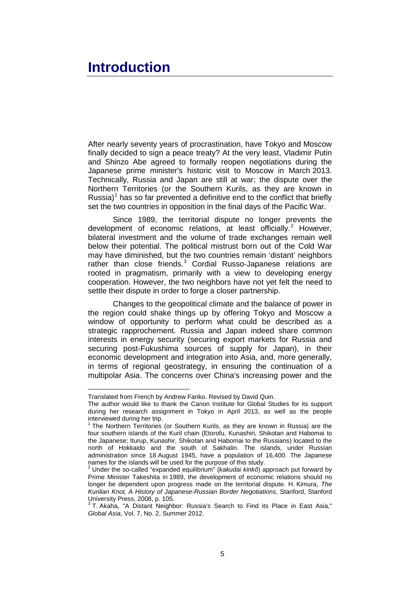## <span id="page-6-0"></span>**Introduction**

After nearly seventy years of procrastination, have Tokyo and Moscow finally decided to sign a peace treaty? At the very least, Vladimir Putin and Shinzo Abe agreed to formally reopen negotiations during the Japanese prime minister's historic visit to Moscow in March 2013. Technically, Russia and Japan are still at war; the dispute over the Northern Territories (or the Southern Kurils, as they are known in Russia)<sup>[1](#page-6-2)</sup> has so far prevented a definitive end to the conflict that briefly set the two countries in opposition in the final days of the Pacific War.

Since 1989, the territorial dispute no longer prevents the development of economic relations, at least officially.<sup>[2](#page-6-3)</sup> However, bilateral investment and the volume of trade exchanges remain well below their potential. The political mistrust born out of the Cold War may have diminished, but the two countries remain 'distant' neighbors rather than close friends.<sup>[3](#page-6-4)</sup> Cordial Russo-Japanese relations are rooted in pragmatism, primarily with a view to developing energy cooperation. However, the two neighbors have not yet felt the need to settle their dispute in order to forge a closer partnership.

Changes to the geopolitical climate and the balance of power in the region could shake things up by offering Tokyo and Moscow a window of opportunity to perform what could be described as a strategic rapprochement. Russia and Japan indeed share common interests in energy security (securing export markets for Russia and securing post-Fukushima sources of supply for Japan), in their economic development and integration into Asia, and, more generally, in terms of regional geostrategy, in ensuring the continuation of a multipolar Asia. The concerns over China's increasing power and the

 $\overline{a}$ 

Translated from French by Andrew Fanko. Revised by David Quin.

<span id="page-6-2"></span><span id="page-6-1"></span>The author would like to thank the Canon Institute for Global Studies for its support during her research assignment in Tokyo in April 2013, as well as the people interviewed during her trip.

 $1$  The Northern Territories (or Southern Kurils, as they are known in Russia) are the four southern islands of the Kuril chain (Etorofu, Kunashiri, Shikotan and Habomai to the Japanese; Iturup, Kunashir, Shikotan and Habomai to the Russians) located to the north of Hokkaido and the south of Sakhalin. The islands, under Russian administration since 18 August 1945, have a population of 16,400. The Japanese names for the islands will be used for the purpose of this study.

<span id="page-6-3"></span><sup>2</sup> Under the so-called "expanded equilibrium" (*kakudai kinkô*) approach put forward by Prime Minister Takeshita in 1989, the development of economic relations should no longer be dependent upon progress made on the territorial dispute. H. Kimura, *The Kurilian Knot, A History of Japanese-Russian Border Negotiations*, Stanford, Stanford

<span id="page-6-4"></span>University Press, 2008, p. 105. 2008. <br><sup>3</sup> T. Akaha, "A Distant Neighbor: Russia's Search to Find its Place in East Asia," *Global Asia*, Vol. 7, No. 2, Summer 2012.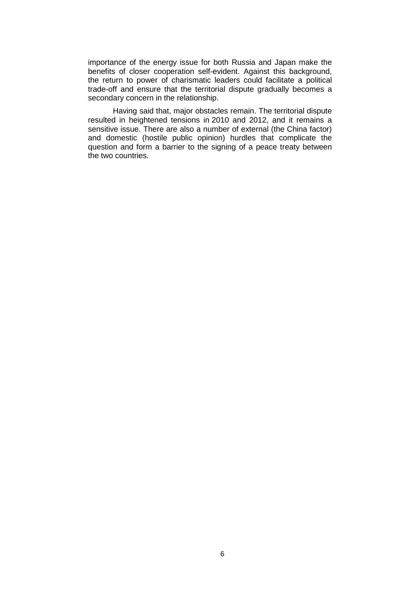importance of the energy issue for both Russia and Japan make the benefits of closer cooperation self-evident. Against this background, the return to power of charismatic leaders could facilitate a political trade-off and ensure that the territorial dispute gradually becomes a secondary concern in the relationship.

Having said that, major obstacles remain. The territorial dispute resulted in heightened tensions in 2010 and 2012, and it remains a sensitive issue. There are also a number of external (the China factor) and domestic (hostile public opinion) hurdles that complicate the question and form a barrier to the signing of a peace treaty between the two countries.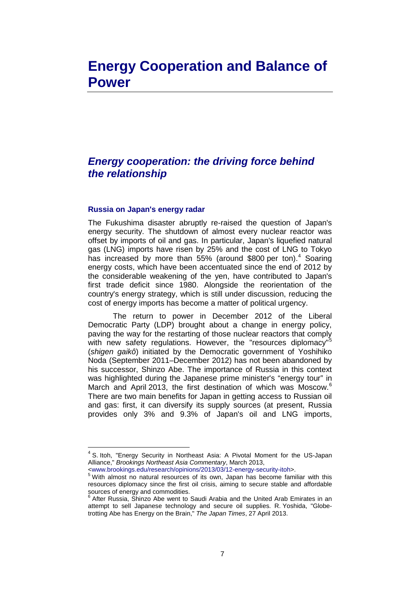## <span id="page-8-0"></span>**Energy Cooperation and Balance of Power**

### <span id="page-8-1"></span>*Energy cooperation: the driving force behind the relationship*

#### <span id="page-8-2"></span>**Russia on Japan's energy radar**

The Fukushima disaster abruptly re-raised the question of Japan's energy security. The shutdown of almost every nuclear reactor was offset by imports of oil and gas. In particular, Japan's liquefied natural gas (LNG) imports have risen by 25% and the cost of LNG to Tokyo has increased by more than 55% (around \$800 per ton).<sup>[4](#page-8-3)</sup> Soaring energy costs, which have been accentuated since the end of 2012 by the considerable weakening of the yen, have contributed to Japan's first trade deficit since 1980. Alongside the reorientation of the country's energy strategy, which is still under discussion, reducing the cost of energy imports has become a matter of political urgency.

The return to power in December 2012 of the Liberal Democratic Party (LDP) brought about a change in energy policy, paving the way for the restarting of those nuclear reactors that comply with new safety regulations. However, the "resources diplomacy"<sup>[5](#page-8-4)</sup> (*shigen gaikô*) initiated by the Democratic government of Yoshihiko Noda (September 2011–December 2012) has not been abandoned by his successor, Shinzo Abe. The importance of Russia in this context was highlighted during the Japanese prime minister's "energy tour" in March and April 2013, the first destination of which was Moscow.<sup>[6](#page-8-5)</sup> There are two main benefits for Japan in getting access to Russian oil and gas: first, it can diversify its supply sources (at present, Russia provides only 3% and 9.3% of Japan's oil and LNG imports,

<span id="page-8-3"></span><sup>4</sup> S. Itoh, "Energy Security in Northeast Asia: A Pivotal Moment for the US-Japan Alliance," *Brookings Northeast Asia Commentary*, March 2013,

<span id="page-8-4"></span>[<sup>&</sup>lt;www.brookings.edu/research/opinions/2013/03/12-energy-security-itoh>](http://www.brookings.edu/research/opinions/2013/03/12-energy-security-itoh). [5](http://www.brookings.edu/research/opinions/2013/03/12-energy-security-itoh) With almost no natural resources of its own, Japan has become familiar with this resources diplomacy since the first oil crisis, aiming to secure stable and affordable sources of energy and commodities.

<span id="page-8-5"></span> $6$  After Russia, Shinzo Abe went to Saudi Arabia and the United Arab Emirates in an attempt to sell Japanese technology and secure oil supplies. R. Yoshida, "Globetrotting Abe has Energy on the Brain," *The Japan Times*, 27 April 2013.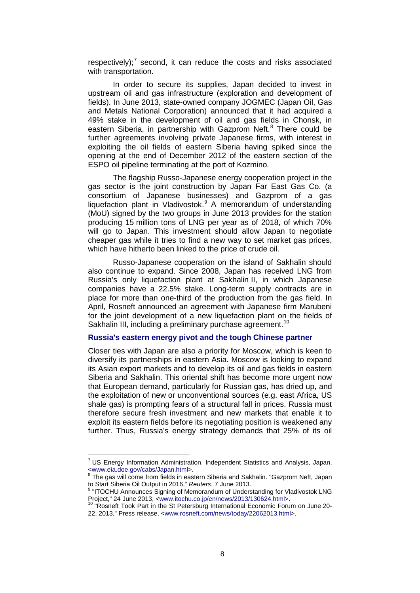respectively);<sup>[7](#page-9-1)</sup> second, it can reduce the costs and risks associated with transportation.

In order to secure its supplies, Japan decided to invest in upstream oil and gas infrastructure (exploration and development of fields). In June 2013, state-owned company JOGMEC (Japan Oil, Gas and Metals National Corporation) announced that it had acquired a 49% stake in the development of oil and gas fields in Chonsk, in eastern Siberia, in partnership with Gazprom Neft.<sup>[8](#page-9-2)</sup> There could be further agreements involving private Japanese firms, with interest in exploiting the oil fields of eastern Siberia having spiked since the opening at the end of December 2012 of the eastern section of the ESPO oil pipeline terminating at the port of Kozmino.

The flagship Russo-Japanese energy cooperation project in the gas sector is the joint construction by Japan Far East Gas Co. (a consortium of Japanese businesses) and Gazprom of a gas liquefaction plant in Vladivostok.<sup>[9](#page-9-3)</sup> A memorandum of understanding (MoU) signed by the two groups in June 2013 provides for the station producing 15 million tons of LNG per year as of 2018, of which 70% will go to Japan. This investment should allow Japan to negotiate cheaper gas while it tries to find a new way to set market gas prices, which have hitherto been linked to the price of crude oil.

Russo-Japanese cooperation on the island of Sakhalin should also continue to expand. Since 2008, Japan has received LNG from Russia's only liquefaction plant at Sakhalin II, in which Japanese companies have a 22.5% stake. Long-term supply contracts are in place for more than one-third of the production from the gas field. In April, Rosneft announced an agreement with Japanese firm Marubeni for the joint development of a new liquefaction plant on the fields of Sakhalin III, including a preliminary purchase agreement.<sup>[10](#page-9-4)</sup>

#### <span id="page-9-0"></span>**Russia's eastern energy pivot and the tough Chinese partner**

Closer ties with Japan are also a priority for Moscow, which is keen to diversify its partnerships in eastern Asia. Moscow is looking to expand its Asian export markets and to develop its oil and gas fields in eastern Siberia and Sakhalin. This oriental shift has become more urgent now that European demand, particularly for Russian gas, has dried up, and the exploitation of new or unconventional sources (e.g. east Africa, US shale gas) is prompting fears of a structural fall in prices. Russia must therefore secure fresh investment and new markets that enable it to exploit its eastern fields before its negotiating position is weakened any further. Thus, Russia's energy strategy demands that 25% of its oil

<span id="page-9-1"></span><sup>&</sup>lt;sup>7</sup> US Energy Information Administration, Independent Statistics and Analysis, Japan, <br>
swww.eia.doe.gov/cabs/Japan.html>.

<span id="page-9-2"></span> $8$  The gas will come from fields in eastern Siberia and Sakhalin. "Gazprom Neft, Japan<br>to Start Siberia Oil Output in 2016." Reuters, 7 June 2013.

<span id="page-9-3"></span><sup>&</sup>lt;sup>9</sup> "ITOCHU Announces Signing of Memorandum of Understanding for Vladivostok LNG<br>Project," 24 June 2013, <www.itochu.co.jp/en/news/2013/130624.html>.

<span id="page-9-4"></span><sup>10 &</sup>quot;Rosneft Took Part in the St Petersburg International Economic Forum on June 20-22, 2013," Press release, [<www.rosneft.com/news/today/22062013.html>](http://www.rosneft.com/news/today/22062013.html).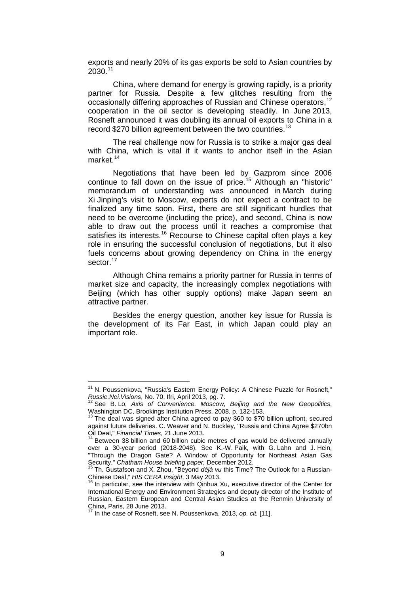exports and nearly 20% of its gas exports be sold to Asian countries by  $2030.<sup>11</sup>$  $2030.<sup>11</sup>$  $2030.<sup>11</sup>$ 

China, where demand for energy is growing rapidly, is a priority partner for Russia. Despite a few glitches resulting from the occasionally differing approaches of Russian and Chinese operators, <sup>[12](#page-10-1)</sup> cooperation in the oil sector is developing steadily. In June 2013, Rosneft announced it was doubling its annual oil exports to China in a record \$270 billion agreement between the two countries.<sup>[13](#page-10-2)</sup>

The real challenge now for Russia is to strike a major gas deal with China, which is vital if it wants to anchor itself in the Asian market.<sup>[14](#page-10-3)</sup>

Negotiations that have been led by Gazprom since 2006 continue to fall down on the issue of price. [15](#page-10-4) Although an "historic" memorandum of understanding was announced in March during Xi Jinping's visit to Moscow, experts do not expect a contract to be finalized any time soon. First, there are still significant hurdles that need to be overcome (including the price), and second, China is now able to draw out the process until it reaches a compromise that satisfies its interests.<sup>[16](#page-10-5)</sup> Recourse to Chinese capital often plays a key role in ensuring the successful conclusion of negotiations, but it also fuels concerns about growing dependency on China in the energy sector.<sup>[17](#page-10-6)</sup>

Although China remains a priority partner for Russia in terms of market size and capacity, the increasingly complex negotiations with Beijing (which has other supply options) make Japan seem an attractive partner.

Besides the energy question, another key issue for Russia is the development of its Far East, in which Japan could play an important role.

<span id="page-10-0"></span><sup>&</sup>lt;sup>11</sup> N. Poussenkova, "Russia's Eastern Energy Policy: A Chinese Puzzle for Rosneft,"<br>*Russie.Nei. Visions*, No. 70, Ifri, April 2013, pg. 7.

<span id="page-10-1"></span><sup>&</sup>lt;sup>12</sup> See B. Lo, *Axis of Convenience. Moscow, Beijing and the New Geopolitics, Washington DC, Brookings Institution Press, 2008, p. 132-153.* 

<span id="page-10-2"></span><sup>&</sup>lt;sup>13</sup> The deal was signed after China agreed to pay \$60 to \$70 billion upfront, secured against future deliveries. C. Weaver and N. Buckley, "Russia and China Agree \$270bn<br>Oil Deal," Financial Times, 21 June 2013.

<span id="page-10-3"></span>Between 38 billion and 60 billion cubic metres of gas would be delivered annually over a 30-year period (2018-2048). See K.-W. Paik, with G. Lahn and J. Hein, "Through the Dragon Gate? A Window of Opportunity for Northeast Asian Gas

Security," *Chatham House briefing paper, December 2012.*<br><sup>15</sup> Th. Gustafson and X. Zhou, "Beyond *déjà vu* this Time? The Outlook for a Russian-<br>Chinese Deal." *HIS CERA Insight*. 3 May 2013.

<span id="page-10-5"></span><span id="page-10-4"></span>Chinese Deal," *HIS CERA Insight*, 3 May 2013. <sup>16</sup> In particular, see the interview with Qinhua Xu, executive director of the Center for International Energy and Environment Strategies and deputy director of the Institute of Russian, Eastern European and Central Asian Studies at the Renmin University of China, Paris, 28 June 2013.

<span id="page-10-6"></span>In the case of Rosneft, see N. Poussenkova, 2013, *op. cit.* [11].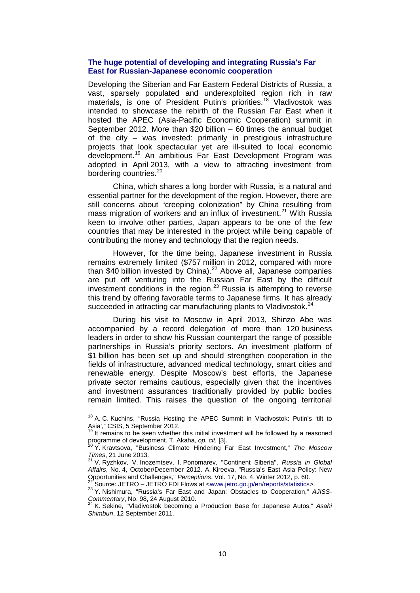#### <span id="page-11-0"></span>**The huge potential of developing and integrating Russia's Far East for Russian-Japanese economic cooperation**

Developing the Siberian and Far Eastern Federal Districts of Russia, a vast, sparsely populated and underexploited region rich in raw materials, is one of President Putin's priorities.<sup>[18](#page-11-1)</sup> Vladivostok was hosted the APEC ([Asia-Pacific Economic Cooperation](http://www.apec.org/)) summit in intended to showcase the rebirth of the Russian Far East when it September 2012. More than \$20 billion – 60 times the annual budget of the city – was invested: primarily in prestigious infrastructure projects that look spectacular yet are ill-suited to local economic development. [19](#page-11-2) An ambitious Far East Development Program was adopted in April 2013, with a view to attracting investment from bordering countries.<sup>[20](#page-11-3)</sup>

China, which shares a long border with Russia, is a natural and essential partner for the development of the region. However, there are still concerns about "creeping colonization" by China resulting from mass migration of workers and an influx of investment.<sup>[21](#page-11-4)</sup> With Russia keen to involve other parties, Japan appears to be one of the few countries that may be interested in the project while being capable of contributing the money and technology that the region needs.

However, for the time being, Japanese investment in Russia remains extremely limited (\$757 million in 2012, compared with more than \$40 billion invested by China).<sup>[22](#page-11-5)</sup> Above all, Japanese companies are put off venturing into the Russian Far East by the difficult investment conditions in the region. [23](#page-11-6) Russia is attempting to reverse this trend by offering favorable terms to Japanese firms. It has already succeeded in attracting car manufacturing plants to Vladivostok.<sup>[24](#page-11-7)</sup>

During his visit to Moscow in April 2013, Shinzo Abe was accompanied by a record delegation of more than 120 business leaders in order to show his Russian counterpart the range of possible partnerships in Russia's priority sectors. An investment platform of \$1 billion has been set up and should strengthen cooperation in the fields of infrastructure, advanced medical technology, smart cities and renewable energy. Despite Moscow's best efforts, the Japanese private sector remains cautious, especially given that the incentives and investment assurances traditionally provided by public bodies remain limited. This raises the question of the ongoing territorial

<span id="page-11-1"></span><sup>&</sup>lt;sup>18</sup> A. C. Kuchins, "Russia Hosting the APEC Summit in Vladivostok: Putin's 'tilt to Asia'," CSIS, 5 September 2012.<br><sup>19</sup> It remains to be seen whether this initial investment will be followed by a reasoned <sup>19</sup>

<span id="page-11-2"></span>

<span id="page-11-3"></span>programme of development. T. Akaha, *op. cit.* [3].<br><sup>20</sup> Y. Kravtsova, "Business Climate Hindering Far East Investment," *The Moscow Times*, 21 June 2013.

<span id="page-11-4"></span>*Times*, 21 June 2013. <sup>21</sup> V. [Ryzhkov,](http://eng.globalaffairs.ru/person/p_816) V. [Inozemtsev,](http://eng.globalaffairs.ru/person/p_24) I. [Ponomarev,](http://eng.globalaffairs.ru/person/p_2540) "Continent Siberia", *Russia in Global Affairs*, No. 4, October/December 2012. A. Kireeva, "Russia's East Asia Policy: New

<span id="page-11-6"></span><span id="page-11-5"></span> $^{22}$  Source: JETRO – JETRO FDI Flows at [<www.jetro.go.jp/en/reports/statistics>](http://www.jetro.go.jp/en/reports/statistics).<br> $^{23}$  Y. Nishimura, "Russia's Far East and Japan: Obstacles to Cooperation," AJISS-*Commentary*, No. 98, 24 August 2010. <sup>24</sup> K. Sekine, "Vladivostok becoming a Production Base for Japanese Autos," *Asahi* 

<span id="page-11-7"></span>*Shimbun*, 12 September 2011.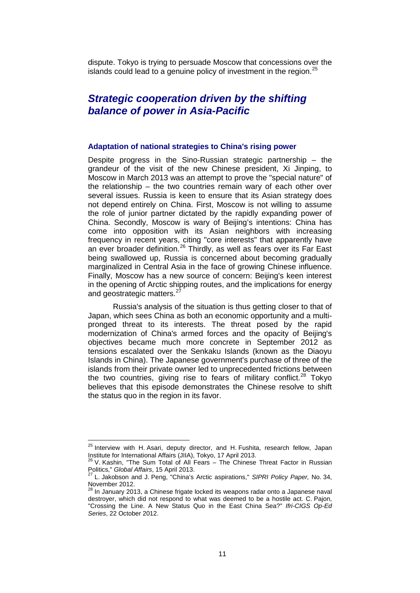dispute. Tokyo is trying to persuade Moscow that concessions over the islands could lead to a genuine policy of investment in the region.<sup>[25](#page-12-2)</sup>

### <span id="page-12-0"></span>*Strategic cooperation driven by the shifting balance of power in Asia-Pacific*

#### <span id="page-12-1"></span>**Adaptation of national strategies to China's rising power**

Despite progress in the Sino-Russian strategic partnership – the grandeur of the visit of the new Chinese president, Xi Jinping, to Moscow in March 2013 was an attempt to prove the "special nature" of the relationship – the two countries remain wary of each other over several issues. Russia is keen to ensure that its Asian strategy does not depend entirely on China. First, Moscow is not willing to assume the role of junior partner dictated by the rapidly expanding power of China. Secondly, Moscow is wary of Beijing's intentions: China has come into opposition with its Asian neighbors with increasing frequency in recent years, citing "core interests" that apparently have an ever broader definition.<sup>[26](#page-12-3)</sup> Thirdly, as well as fears over its Far East being swallowed up, Russia is concerned about becoming gradually marginalized in Central Asia in the face of growing Chinese influence. Finally, Moscow has a new source of concern: Beijing's keen interest in the opening of Arctic shipping routes, and the implications for energy and geostrategic matters.<sup>[27](#page-12-4)</sup>

Russia's analysis of the situation is thus getting closer to that of Japan, which sees China as both an economic opportunity and a multipronged threat to its interests. The threat posed by the rapid modernization of China's armed forces and the opacity of Beijing's objectives became much more concrete in September 2012 as tensions escalated over the Senkaku Islands (known as the Diaoyu Islands in China). The Japanese government's purchase of three of the islands from their private owner led to unprecedented frictions between the two countries, giving rise to fears of military conflict.<sup>[28](#page-12-5)</sup> Tokyo believes that this episode demonstrates the Chinese resolve to shift the status quo in the region in its favor.

<span id="page-12-2"></span><sup>&</sup>lt;sup>25</sup> Interview with H. Asari, deputy director, and H. Fushita, research fellow, Japan Institute for International Affairs (JIIA), Tokyo, 17 April 2013.

<span id="page-12-3"></span><sup>26</sup> V. Kashin, "The Sum Total of All Fears – The Chinese Threat Factor in Russian<br>Politics," Global Affairs, 15 April 2013.<br><sup>27</sup> Lakeboos and L. Darwin C. 1.

<span id="page-12-4"></span><sup>&</sup>lt;sup>27</sup> L. Jakobson and J. Peng, "China's Arctic aspirations," *SIPRI Policy Paper,* No. 34,<br>November 2012.

<span id="page-12-5"></span>In January 2013, a Chinese frigate locked its weapons radar onto a Japanese naval destroyer, which did not respond to what was deemed to be a hostile act. C. Pajon, "Crossing the Line. A New Status Quo in the East China Sea?" *Ifri-CIGS Op-Ed Series*, 22 October 2012.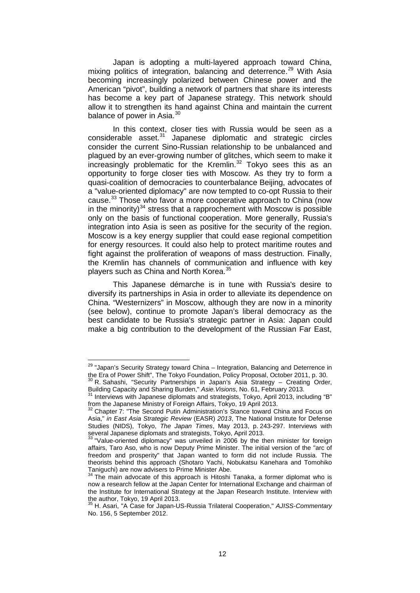Japan is adopting a multi-layered approach toward China, mixing politics of integration, balancing and deterrence.<sup>[29](#page-13-0)</sup> With Asia becoming increasingly polarized between Chinese power and the American "pivot", building a network of partners that share its interests has become a key part of Japanese strategy. This network should allow it to strengthen its hand against China and maintain the current balance of power in Asia.<sup>[30](#page-13-1)</sup>

In this context, closer ties with Russia would be seen as a considerable asset. [31](#page-13-2) Japanese diplomatic and strategic circles consider the current Sino-Russian relationship to be unbalanced and plagued by an ever-growing number of glitches, which seem to make it increasingly problematic for the Kremlin.<sup>[32](#page-13-3)</sup> Tokyo sees this as an opportunity to forge closer ties with Moscow. As they try to form a quasi-coalition of democracies to counterbalance Beijing, advocates of a "value-oriented diplomacy" are now tempted to co-opt Russia to their cause.<sup>[33](#page-13-4)</sup> Those who favor a more cooperative approach to China (now in the minority) $34$  stress that a rapprochement with Moscow is possible only on the basis of functional cooperation. More generally, Russia's integration into Asia is seen as positive for the security of the region. Moscow is a key energy supplier that could ease regional competition for energy resources. It could also help to protect maritime routes and fight against the proliferation of weapons of mass destruction. Finally, the Kremlin has channels of communication and influence with key players such as China and North Korea.<sup>[35](#page-13-6)</sup>

This Japanese démarche is in tune with Russia's desire to diversify its partnerships in Asia in order to alleviate its dependence on China. "Westernizers" in Moscow, although they are now in a minority (see below), continue to promote Japan's liberal democracy as the best candidate to be Russia's strategic partner in Asia: Japan could make a big contribution to the development of the Russian Far East,

<span id="page-13-0"></span> $29$  "Japan's Security Strategy toward China – Integration, Balancing and Deterrence in the Era of Power Shift", The Tokyo Foundation, Policy Proposal, October 2011, p. 30.

<span id="page-13-1"></span><sup>&</sup>lt;sup>30</sup> R. Sahashi, "Security Partnerships in Japan's Asia Strategy – Creating Order, Building Capacity and Sharing Burden, "Asia Crisions, No. 61, February 2013.

<span id="page-13-2"></span><sup>&</sup>lt;sup>31</sup> Interviews with Japanese diplomats and strategists, Tokyo, April 2013, including "B"<br>from the Japanese Ministry of Foreign Affairs, Tokyo, 19 April 2013.

<span id="page-13-3"></span>Chapter 7: "The Second Putin Administration's Stance toward China and Focus on Asia," *in East Asia Strategic Review* (EASR) *2013*, The National Institute for Defense Studies (NIDS), Tokyo, *The Japan Times*, May 2013, p. 243-297. Interviews with several Japanese diplomats and strategists, Tokyo, April 2013.

<span id="page-13-4"></span><sup>&</sup>quot;Value-oriented diplomacy" was unveiled in 2006 by the then minister for foreign affairs, Taro Aso, who is now Deputy Prime Minister. The initial version of the "arc of freedom and prosperity" that Japan wanted to form did not include Russia. The theorists behind this approach (Shotaro Yachi, Nobukatsu Kanehara and Tomohiko Taniguchi) are now advisers to Prime Minister Abe.

<span id="page-13-5"></span>The main advocate of this approach is Hitoshi Tanaka, a former diplomat who is now a research fellow at the Japan Center for International Exchange and chairman of the Institute for International Strategy at the Japan Research Institute. Interview with the author, Tokyo, 19 April 2013.

<span id="page-13-6"></span>the author, Tokyo, 19 April 2013. <sup>35</sup> H. Asari, "A Case for Japan-US-Russia Trilateral Cooperation," *AJISS-Commentary* No. 156, 5 September 2012.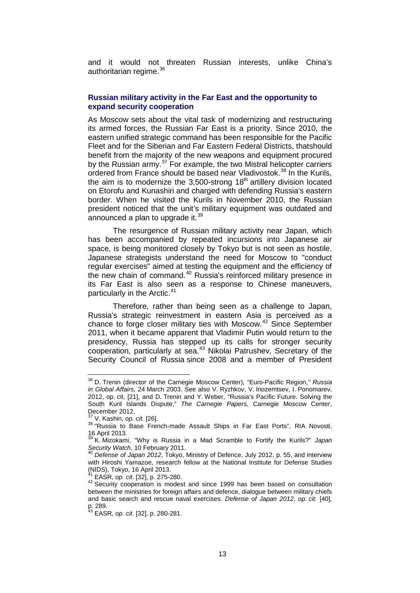and it would not threaten Russian interests, unlike China's authoritarian regime. [36](#page-14-1)

#### <span id="page-14-0"></span>**Russian military activity in the Far East and the opportunity to expand security cooperation**

As Moscow sets about the vital task of modernizing and restructuring its armed forces, the Russian Far East is a priority. Since 2010, the eastern unified strategic command has been responsible for the Pacific Fleet and for the Siberian and Far Eastern Federal Districts, thatshould benefit from the majority of the new weapons and equipment procured by the Russian army.<sup>[37](#page-14-2)</sup> For example, the two Mistral helicopter carriers ordered from France should be based near Vladivostok.<sup>[38](#page-14-3)</sup> In the Kurils, the aim is to modernize the 3,500-strong  $18<sup>th</sup>$  artillery division located on Etorofu and Kunashiri and charged with defending Russia's eastern border. When he visited the Kurils in November 2010, the Russian president noticed that the unit's military equipment was outdated and announced a plan to upgrade it.<sup>[39](#page-14-4)</sup>

The resurgence of Russian military activity near Japan, which has been accompanied by repeated incursions into Japanese air space, is being monitored closely by Tokyo but is not seen as hostile. Japanese strategists understand the need for Moscow to "conduct regular exercises" aimed at testing the equipment and the efficiency of the new chain of command.<sup>[40](#page-14-5)</sup> Russia's reinforced military presence in its Far East is also seen as a response to Chinese maneuvers, particularly in the Arctic. [41](#page-14-6)

Therefore, rather than being seen as a challenge to Japan, Russia's strategic reinvestment in eastern Asia is perceived as a chance to forge closer military ties with Moscow.<sup>[42](#page-14-7)</sup> Since September 2011, when it became apparent that Vladimir Putin would return to the presidency, Russia has stepped up its calls for stronger security cooperation, particularly at sea. [43](#page-14-8) Nikolai Patrushev, Secretary of the [Security Council of Russia](http://en.wikipedia.org/wiki/Security_Council_of_Russia) since 2008 and a member of President

<span id="page-14-1"></span><sup>36</sup> D. Trenin (director of the Carnegie Moscow Center), "Euro-Pacific Region,*" Russia in Global Affairs,* 24 March 2003. See also V. [Ryzhkov,](http://eng.globalaffairs.ru/person/p_816) V. [Inozemtsev,](http://eng.globalaffairs.ru/person/p_24) I. [Ponomarev,](http://eng.globalaffairs.ru/person/p_2540) 2012, op. cit. [21], and D. Trenin and Y. Weber, "Russia's Pacific Future. Solving the South Kuril Islands Dispute," The Carnegie Papers, Carnegie Moscow Center,<br>December 2012.

<span id="page-14-3"></span><span id="page-14-2"></span><sup>&</sup>lt;sup>37</sup> V. Kashin, *op. cit.* [26].<br><sup>38</sup> "Russia to Base French-made Assault Ships in Far East Ports", RIA Novosti,<br>16 April 2013.

<span id="page-14-4"></span><sup>16</sup> April 2014. Apple 2014. 39 K. Mizokami, "Why is Russia in a Mad Scramble to Fortify the Kurils?" *Japan Security Watch*, 10 February 2011. <sup>40</sup> *Defense of Japan 2012*, Tokyo, Ministry of Defence, July 2012, p. 55, and interview

<span id="page-14-5"></span>with Hiroshi Yamazoe, research fellow at the National Institute for Defense Studies (NIDS), Tokyo, 16 April 2013.

<span id="page-14-7"></span><span id="page-14-6"></span><sup>&</sup>lt;sup>41</sup> EASR, *op. cit.* [32], p. 275-280.<br><sup>42</sup> Security cooperation is modest and since 1999 has been based on consultation between the ministries for foreign affairs and defence, dialogue between military chiefs and basic search and rescue naval exercises. *Defense of Japan 2012*, *op. cit.* [40]*,* p. 289. <sup>43</sup> EASR, *op. cit.* [32], p. 280-281.

<span id="page-14-8"></span>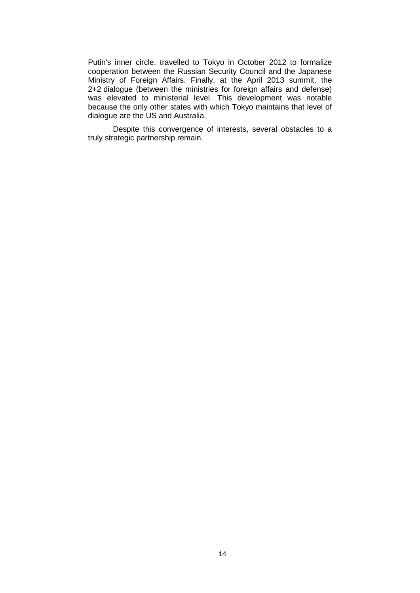Putin's inner circle, travelled to Tokyo in October 2012 to formalize cooperation between the Russian Security Council and the Japanese Ministry of Foreign Affairs. Finally, at the April 2013 summit, the 2+2 dialogue (between the ministries for foreign affairs and defense) was elevated to ministerial level. This development was notable because the only other states with which Tokyo maintains that level of dialogue are the US and Australia.

Despite this convergence of interests, several obstacles to a truly strategic partnership remain.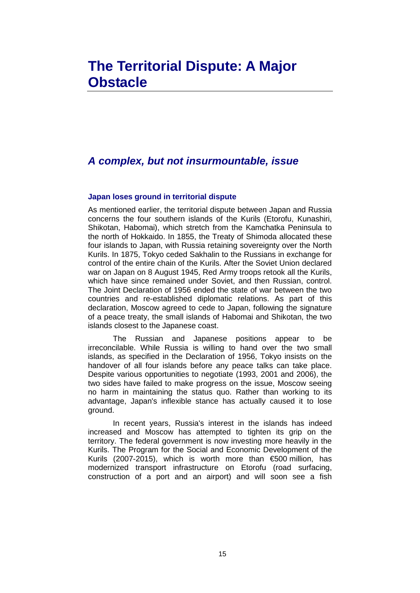### <span id="page-16-1"></span><span id="page-16-0"></span>*A complex, but not insurmountable, issue*

#### <span id="page-16-2"></span>**Japan loses ground in territorial dispute**

As mentioned earlier, the territorial dispute between Japan and Russia concerns the four southern islands of the Kurils (Etorofu, Kunashiri, Shikotan, Habomai), which stretch from the Kamchatka Peninsula to the north of Hokkaido. In 1855, the Treaty of Shimoda allocated these four islands to Japan, with Russia retaining sovereignty over the North Kurils. In 1875, Tokyo ceded Sakhalin to the Russians in exchange for control of the entire chain of the Kurils. After the Soviet Union declared war on Japan on 8 August 1945, Red Army troops retook all the Kurils, which have since remained under Soviet, and then Russian, control. The Joint Declaration of 1956 ended the state of war between the two countries and re-established diplomatic relations. As part of this declaration, Moscow agreed to cede to Japan, following the signature of a peace treaty, the small islands of Habomai and Shikotan, the two islands closest to the Japanese coast.

The Russian and Japanese positions appear to be irreconcilable. While Russia is willing to hand over the two small islands, as specified in the Declaration of 1956, Tokyo insists on the handover of all four islands before any peace talks can take place. Despite various opportunities to negotiate (1993, 2001 and 2006), the two sides have failed to make progress on the issue, Moscow seeing no harm in maintaining the status quo. Rather than working to its advantage, Japan's inflexible stance has actually caused it to lose ground.

In recent years, Russia's interest in the islands has indeed increased and Moscow has attempted to tighten its grip on the territory. The federal government is now investing more heavily in the Kurils. The Program for the Social and Economic Development of the Kurils (2007-2015), which is worth more than €500 million, has modernized transport infrastructure on Etorofu (road surfacing, construction of a port and an airport) and will soon see a fish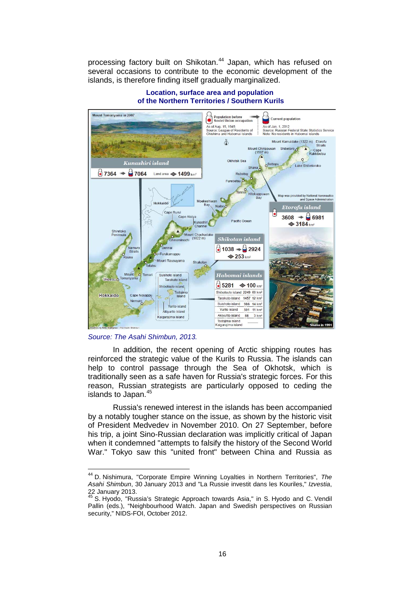processing factory built on Shikotan. [44](#page-17-0) Japan, which has refused on several occasions to contribute to the economic development of the islands, is therefore finding itself gradually marginalized.



#### **Location, surface area and population of the Northern Territories / Southern Kurils**

*Source: The Asahi Shimbun, 2013.*

In addition, the recent opening of Arctic shipping routes has reinforced the strategic value of the Kurils to Russia. The islands can help to control passage through the Sea of Okhotsk, which is traditionally seen as a safe haven for Russia's strategic forces. For this reason, Russian strategists are particularly opposed to ceding the islands to Japan. [45](#page-17-1)

Russia's renewed interest in the islands has been accompanied by a notably tougher stance on the issue, as shown by the historic visit of President Medvedev in November 2010. On 27 September, before his trip, a joint Sino-Russian declaration was implicitly critical of Japan when it condemned "attempts to falsify the history of the Second World War." Tokyo saw this "united front" between China and Russia as

<span id="page-17-0"></span><sup>44</sup> D. Nishimura, "Corporate Empire Winning Loyalties in Northern Territories", *The Asahi Shimbun*, 30 January 2013 and "La Russie investit dans les Kouriles," *Izvestia*, 22 January 2013.<br><sup>45</sup> S. Hyodo, "Russia's Strategic Approach towards Asia," in S. Hyodo and C. Vendil

<span id="page-17-1"></span>Pallin (eds.), "Neighbourhood Watch. Japan and Swedish perspectives on Russian security," NIDS-FOI, October 2012.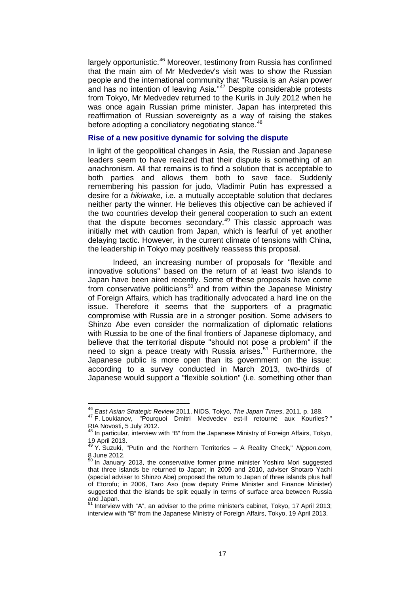largely opportunistic. [46](#page-18-1) Moreover, testimony from Russia has confirmed that the main aim of Mr Medvedev's visit was to show the Russian people and the international community that "Russia is an Asian power and has no intention of leaving Asia."<sup>[47](#page-18-2)</sup> Despite considerable protests from Tokyo, Mr Medvedev returned to the Kurils in July 2012 when he was once again Russian prime minister. Japan has interpreted this reaffirmation of Russian sovereignty as a way of raising the stakes before adopting a conciliatory negotiating stance.<sup>[48](#page-18-3)</sup>

#### <span id="page-18-0"></span>**Rise of a new positive dynamic for solving the dispute**

In light of the geopolitical changes in Asia, the Russian and Japanese leaders seem to have realized that their dispute is something of an anachronism. All that remains is to find a solution that is acceptable to both parties and allows them both to save face. Suddenly remembering his passion for judo, Vladimir Putin has expressed a desire for a *hikiwake*, i.e. a mutually acceptable solution that declares neither party the winner. He believes this objective can be achieved if the two countries develop their general cooperation to such an extent that the dispute becomes secondary.<sup>[49](#page-18-4)</sup> This classic approach was initially met with caution from Japan, which is fearful of yet another delaying tactic. However, in the current climate of tensions with China, the leadership in Tokyo may positively reassess this proposal.

Indeed, an increasing number of proposals for "flexible and innovative solutions" based on the return of at least two islands to Japan have been aired recently. Some of these proposals have come from conservative politicians<sup>[50](#page-18-5)</sup> and from within the Japanese Ministry of Foreign Affairs, which has traditionally advocated a hard line on the issue. Therefore it seems that the supporters of a pragmatic compromise with Russia are in a stronger position. Some advisers to Shinzo Abe even consider the normalization of diplomatic relations with Russia to be one of the final frontiers of Japanese diplomacy, and believe that the territorial dispute "should not pose a problem" if the need to sign a peace treaty with Russia arises.<sup>[51](#page-18-6)</sup> Furthermore, the Japanese public is more open than its government on the issue: according to a survey conducted in March 2013, two-thirds of Japanese would support a "flexible solution" (i.e. something other than

<sup>46</sup> *East Asian Strategic Review* 2011, NIDS, Tokyo, *The Japan Times*, 2011, p. 188.

<span id="page-18-2"></span><span id="page-18-1"></span><sup>47</sup> F. Loukianov, "Pourquoi Dmitri Medvedev est-il retourné aux Kouriles? " RIA Novosti, 5 July 2012.<br><sup>48</sup> In particular, interview with "B" from the Japanese Ministry of Foreign Affairs, Tokyo,

<span id="page-18-3"></span><sup>19</sup> April 2013. <sup>49</sup> Y. Suzuki, "Putin and the Northern Territories – A Reality Check," *Nippon.com*,

<span id="page-18-4"></span><sup>8</sup> June 2012.<br>
<sup>50</sup> In January 2013, the conservative former prime minister Yoshiro Mori suggested

<span id="page-18-5"></span>that three islands be returned to Japan; in 2009 and 2010, adviser Shotaro Yachi (special adviser to Shinzo Abe) proposed the return to Japan of three islands plus half of Etorofu; in 2006, Taro Aso (now deputy Prime Minister and Finance Minister) suggested that the islands be split equally in terms of surface area between Russia and Japan.<br><sup>51</sup> Interview with "A", an adviser to the prime minister's cabinet, Tokyo, 17 April 2013;

<span id="page-18-6"></span>interview with "B" from the Japanese Ministry of Foreign Affairs, Tokyo, 19 April 2013.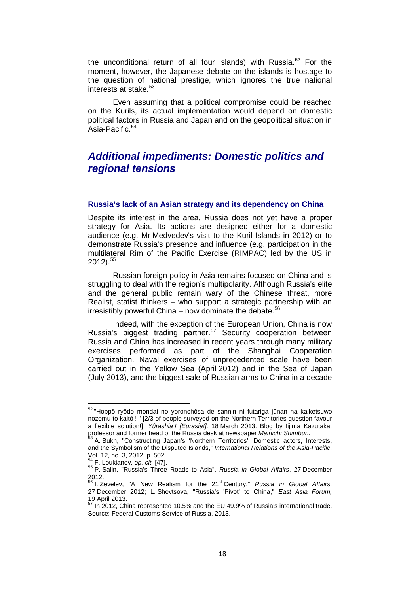the unconditional return of all four islands) with Russia.<sup>[52](#page-19-2)</sup> For the moment, however, the Japanese debate on the islands is hostage to the question of national prestige, which ignores the true national interests at stake. [53](#page-19-3)

Even assuming that a political compromise could be reached on the Kurils, its actual implementation would depend on domestic political factors in Russia and Japan and on the geopolitical situation in Asia-Pacific. $54$ 

### <span id="page-19-0"></span>*Additional impediments: Domestic politics and regional tensions*

#### <span id="page-19-1"></span>**Russia's lack of an Asian strategy and its dependency on China**

Despite its interest in the area, Russia does not yet have a proper strategy for Asia. Its actions are designed either for a domestic audience (e.g. Mr Medvedev's visit to the Kuril Islands in 2012) or to demonstrate Russia's presence and influence (e.g. participation in the multilateral Rim of the Pacific Exercise (RIMPAC) led by the US in 2012). [55](#page-19-5)

Russian foreign policy in Asia remains focused on China and is struggling to deal with the region's multipolarity. Although Russia's elite and the general public remain wary of the Chinese threat, more Realist, statist thinkers – who support a strategic partnership with an irresistibly powerful China – now dominate the debate.<sup>[56](#page-19-6)</sup>

Indeed, with the exception of the European Union, China is now Russia's biggest trading partner. [57](#page-19-7) Security cooperation between Russia and China has increased in recent years through many military exercises performed as part of the Shanghai Cooperation Organization. Naval exercises of unprecedented scale have been carried out in the Yellow Sea (April 2012) and in the Sea of Japan (July 2013), and the biggest sale of Russian arms to China in a decade

<span id="page-19-2"></span><sup>52</sup> "Hoppô ryôdo mondai no yoronchôsa de sannin ni futariga jûnan na kaiketsuwo nozomu to kaitô ! " [2/3 of people surveyed on the Northern Territories question favour a flexible solution!], *Yûrashia ! [Eurasia!],* 18 March 2013. Blog by Iijima Kazutaka, professor and former head of the Russia desk at newspaper *Mainichi Shimbun*.

<span id="page-19-3"></span><sup>&</sup>lt;sup>53</sup> A. Bukh, "Constructing Japan's 'Northern Territories': Domestic actors, Interests, and the Symbolism of the Disputed Islands," *International Relations of the Asia-Pacific*,

<span id="page-19-5"></span><span id="page-19-4"></span>

Vol. 12, no. 3, 2012, p. 502.<br><sup>54</sup> F. Loukianov, *op. cit.* [47].<br><sup>55</sup> P. Salin, "Russia's Three Roads to Asia", *Russia in Global Affairs*, 27 December 2012.

<span id="page-19-6"></span><sup>&</sup>lt;sup>56</sup> I. [Zevelev,](http://eng.globalaffairs.ru/person/p_1695) "A New Realism for the 21<sup>st</sup> Century," *Russia in Global Affairs*, 27 December 2012; L. Shevtsova, "Russia's 'Pivot' to China," *East Asia Forum,*

<span id="page-19-7"></span><sup>19</sup> April 2013.<br><sup>57</sup> In 2012, China represented 10.5% and the EU 49.9% of Russia's international trade. Source: Federal Customs Service of Russia, 2013.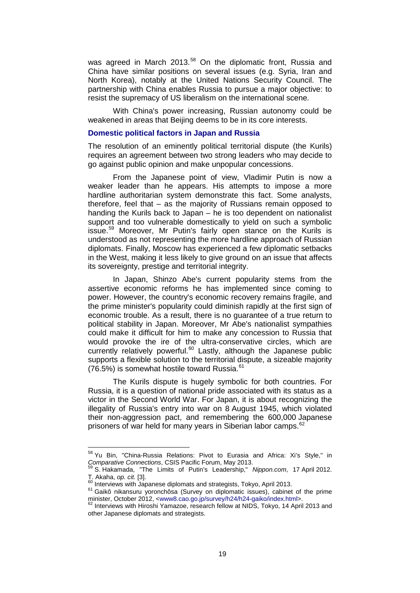was agreed in March 2013.<sup>[58](#page-20-1)</sup> On the diplomatic front, Russia and China have similar positions on several issues (e.g. Syria, Iran and North Korea), notably at the United Nations Security Council. The partnership with China enables Russia to pursue a major objective: to resist the supremacy of US liberalism on the international scene.

With China's power increasing, Russian autonomy could be weakened in areas that Beijing deems to be in its core interests.

#### <span id="page-20-0"></span>**Domestic political factors in Japan and Russia**

The resolution of an eminently political territorial dispute (the Kurils) requires an agreement between two strong leaders who may decide to go against public opinion and make unpopular concessions.

From the Japanese point of view, Vladimir Putin is now a weaker leader than he appears. His attempts to impose a more hardline authoritarian system demonstrate this fact. Some analysts, therefore, feel that – as the majority of Russians remain opposed to handing the Kurils back to Japan – he is too dependent on nationalist support and too vulnerable domestically to yield on such a symbolic issue. [59](#page-20-2) Moreover, Mr Putin's fairly open stance on the Kurils is understood as not representing the more hardline approach of Russian diplomats. Finally, Moscow has experienced a few diplomatic setbacks in the West, making it less likely to give ground on an issue that affects its sovereignty, prestige and territorial integrity.

In Japan, Shinzo Abe's current popularity stems from the assertive economic reforms he has implemented since coming to power. However, the country's economic recovery remains fragile, and the prime minister's popularity could diminish rapidly at the first sign of economic trouble. As a result, there is no guarantee of a true return to political stability in Japan. Moreover, Mr Abe's nationalist sympathies could make it difficult for him to make any concession to Russia that would provoke the ire of the ultra-conservative circles, which are currently relatively powerful.<sup>[60](#page-20-3)</sup> Lastly, although the Japanese public supports a flexible solution to the territorial dispute, a sizeable majority (76.5%) is somewhat hostile toward Russia. [61](#page-20-4)

The Kurils dispute is hugely symbolic for both countries. For Russia, it is a question of national pride associated with its status as a victor in the Second World War. For Japan, it is about recognizing the illegality of Russia's entry into war on 8 August 1945, which violated their non-aggression pact, and remembering the 600,000 Japanese prisoners of war held for many years in Siberian labor camps. <sup>[62](#page-20-5)</sup>

<sup>58</sup> Yu Bin, "China-Russia Relations: Pivot to Eurasia and Africa: Xi's Style," in

<span id="page-20-2"></span><span id="page-20-1"></span>*Comparative Connections*, CSIS Pacific Forum, May 2013.<br><sup>59</sup> S. Hakamada, "The Limits of Putin's Leadership," *Nippon.com*, 17 April 2012.<br>T. Akaha, op. cit. [3].

<span id="page-20-4"></span><span id="page-20-3"></span><sup>&</sup>lt;sup>61</sup> Interviews with Japanese diplomats and strategists, Tokyo, April 2013.<br><sup>61</sup> Gaikô nikansuru yoronchôsa (Survey on diplomatic issues), cabinet of the prime minister, October 2012, <www8.cao.go.jp/survey/h24/h24-gaiko/i

<span id="page-20-5"></span>minister, October 2012, marriarch 3. capa.<br><sup>62</sup> Interviews with Hiroshi Yamazoe, research fellow at NIDS, Tokyo, 14 April 2013 and other Japanese diplomats and strategists.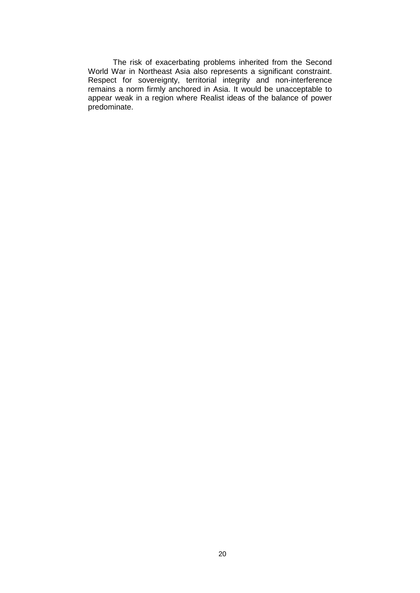The risk of exacerbating problems inherited from the Second World War in Northeast Asia also represents a significant constraint. Respect for sovereignty, territorial integrity and non-interference remains a norm firmly anchored in Asia. It would be unacceptable to appear weak in a region where Realist ideas of the balance of power predominate.